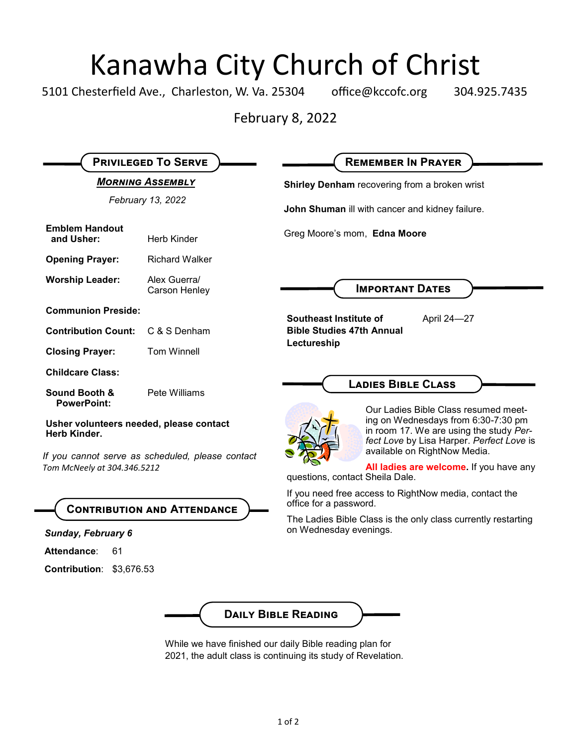# Kanawha City Church of Christ<br>esterfield Ave., Charleston, W. Va. 25304 office@kccofc.org 304.9

5101 Chesterfield Ave., Charleston, W. Va. 25304 office@kccofc.org 304.925.7435

February 8, 2022

| <b>PRIVILEGED TO SERVE</b>                                                                                                                                                       |                               | <b>REMEMBER IN PRAYER</b>                                                                                                                                   |
|----------------------------------------------------------------------------------------------------------------------------------------------------------------------------------|-------------------------------|-------------------------------------------------------------------------------------------------------------------------------------------------------------|
| <b>MORNING ASSEMBLY</b>                                                                                                                                                          |                               | Shirley Denham recovering from a broken wrist                                                                                                               |
| February 13, 2022                                                                                                                                                                |                               | John Shuman ill with cancer and kidney failure.                                                                                                             |
| <b>Emblem Handout</b><br>and Usher:                                                                                                                                              | <b>Herb Kinder</b>            | Greg Moore's mom, Edna Moore                                                                                                                                |
| <b>Opening Prayer:</b>                                                                                                                                                           | <b>Richard Walker</b>         |                                                                                                                                                             |
| <b>Worship Leader:</b>                                                                                                                                                           | Alex Guerra/<br>Carson Henley | <b>IMPORTANT DATES</b>                                                                                                                                      |
| <b>Communion Preside:</b>                                                                                                                                                        |                               | Southeast Institute of<br>April 24-27                                                                                                                       |
| <b>Contribution Count:</b>                                                                                                                                                       | C & S Denham                  | <b>Bible Studies 47th Annual</b><br>Lectureship                                                                                                             |
| <b>Closing Prayer:</b>                                                                                                                                                           | <b>Tom Winnell</b>            |                                                                                                                                                             |
| <b>Childcare Class:</b>                                                                                                                                                          |                               |                                                                                                                                                             |
| <b>Sound Booth &amp;</b><br><b>PowerPoint:</b>                                                                                                                                   | Pete Williams                 | <b>LADIES BIBLE CLASS</b><br>Our Ladies Bible Class resumed meet-                                                                                           |
| Usher volunteers needed, please contact<br>Herb Kinder.<br>If you cannot serve as scheduled, please contact<br>Tom McNeely at 304.346.5212<br><b>CONTRIBUTION AND ATTENDANCE</b> |                               | ing on Wednesdays from 6:30-7:30 pm<br>in room 17. We are using the study Per-<br>fect Love by Lisa Harper. Perfect Love is<br>available on RightNow Media. |
|                                                                                                                                                                                  |                               | All ladies are welcome. If you have any<br>questions, contact Sheila Dale.                                                                                  |
|                                                                                                                                                                                  |                               | If you need free access to RightNow media, contact the<br>office for a password.                                                                            |
| Sunday, February 6                                                                                                                                                               |                               | The Ladies Bible Class is the only class currently restarting<br>on Wednesday evenings.                                                                     |
| Attendance:<br>61                                                                                                                                                                |                               |                                                                                                                                                             |
| Contribution: \$3,676.53                                                                                                                                                         |                               |                                                                                                                                                             |
|                                                                                                                                                                                  |                               | <b>DAILY BIBLE READING</b><br>While we have finished our daily Bible reading plan for<br>2021, the adult class is continuing its study of Revelation.       |